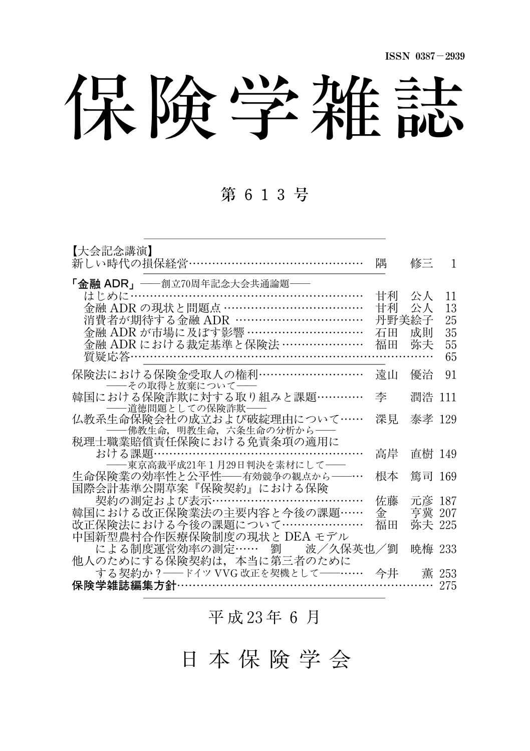保険学雑誌

### 第 613号

| 【大会記念講演】<br>新しい時代の損保経営……………………………………                                                    | 隅           | 修三               | 1        |
|-----------------------------------------------------------------------------------------|-------------|------------------|----------|
| 「金融 ADR」——創立70周年記念大会共通論題——<br>はじめに………………………………………………………<br>金融 ADR の現状と問題点 ………………………………… | 甘利          | 公人               | 11       |
| 消費者が期待する金融 ADR ……………………………                                                              | 甘利<br>丹野美絵子 | 公人               | 13<br>25 |
| 金融 ADR が市場に及ぼす影響 …………………………                                                             | 石田          | 成則               | 35       |
| 金融 ADR における裁定基準と保険法 …………………                                                             | 福田          | 弥夫               | 55<br>65 |
| 保険法における保険金受取人の権利………………………<br>――その取得と放棄について――                                            | 遠山          | 優治               | 91       |
| 韓国における保険詐欺に対する取り組みと課題…………<br>――道徳問題としての保険詐欺――                                           | 李           | 潤浩 111           |          |
| 仏教系生命保険会社の成立および破綻理由について……<br>----佛教生命, 明教生命, 六条生命の分析から---                               | 深見          | 泰孝 129           |          |
| 税理士職業賠償責任保険における免責条項の適用に                                                                 |             |                  |          |
| おける課題………………………………………………<br>−東京高裁平成21年1月29日判決を素材にして──                                    | 高岸          | 直樹 149           |          |
| 生命保険業の効率性と公平性––有効競争の観点から––…                                                             | 根本          | 篤司 169           |          |
| 国際会計基準公開草案『保険契約』における保険                                                                  |             |                  |          |
| 契約の測定および表示………………………<br>韓国における改正保険業法の主要内容と今後の課題……                                        | 佐藤<br>金     | 元彦 187<br>亨冀 207 |          |
| 改正保険法における今後の課題について…………………                                                               | 福田          | 弥夫 225           |          |
| 中国新型農村合作医療保険制度の現状と DEA モデル                                                              |             |                  |          |
| による制度運営効率の測定…… 劉 を波/久保英也/劉                                                              |             | 暁梅 233           |          |
| 他人のためにする保険契約は、本当に第三者のために                                                                |             |                  |          |
| する契約か ? ―― ドイツ VVG 改正を契機として――…… 今井 ― 薫 253                                              |             |                  |          |
| 保険学雑誌編集方針………………………………………………                                                             |             |                  | 275      |

平 成 23年 6 月

日 本 保 険 学 会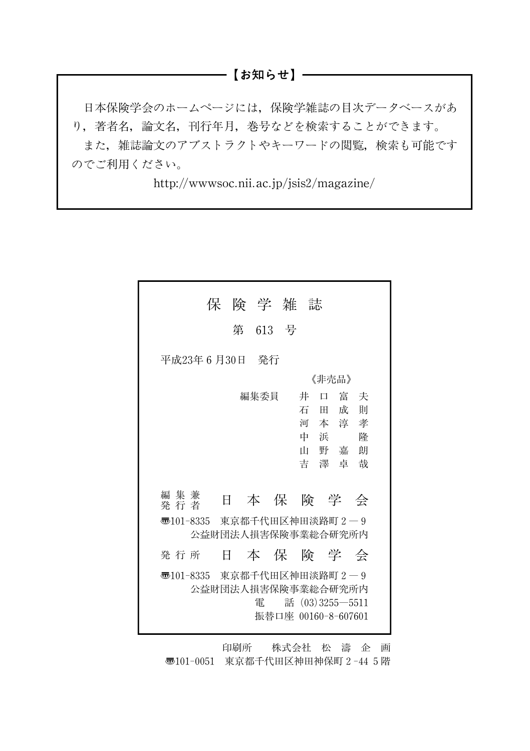#### ―――【お知らせ】―

日本保険学会のホームページには,保険学雑誌の目次データベースがあ り,著者名,論文名,刊行年月,巻号などを検索することができます。 また,雑誌論文のアブストラクトやキーワードの閲覧,検索も可能です のでご利用ください。

http://wwwsoc.nii.ac.jp/jsis2/magazine/

|                                          | 保険学雑誌 |         |  |                                                                  |                                           |  |  |
|------------------------------------------|-------|---------|--|------------------------------------------------------------------|-------------------------------------------|--|--|
|                                          |       | 第 613 号 |  |                                                                  |                                           |  |  |
| 平成23年 6 月30日 発行                          |       |         |  |                                                                  |                                           |  |  |
|                                          | 《非壳品》 |         |  |                                                                  |                                           |  |  |
| 編集兼<br>発行者<br>55101-8335 東京都千代田区神田淡路町2―9 | 日     | 編集委員    |  | 井<br>$\Box$<br>石<br>田<br>河<br>中 浜<br>本保険学会                       | 富夫<br>成<br>一則<br>本淳孝<br>降<br>山野嘉朗<br>吉澤卓哉 |  |  |
|                                          |       |         |  | 公益財団法人損害保険事業総合研究所内                                               |                                           |  |  |
| 発行所                                      | EF.   |         |  | 本保険学会                                                            |                                           |  |  |
| 55101-8335 東京都千代田区神田淡路町2―9               |       | 雷       |  | 公益財団法人捐害保険事業総合研究所内<br>話 $(03)3255 - 5511$<br>振替口座 00160-8-607601 |                                           |  |  |

印刷所 株式会社 松 濤 企 画 〠101-0051 東京都千代田区神田神保町2-445階